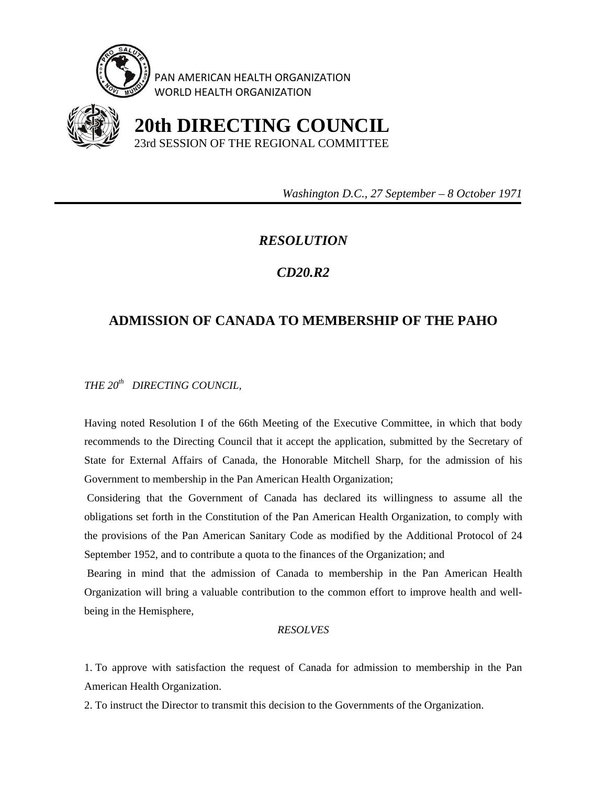

PAN AMERICAN HEALTH ORGANIZATION WORLD HEALTH ORGANIZATION



 **20th DIRECTING COUNCIL** 23rd SESSION OF THE REGIONAL COMMITTEE

 *Washington D.C., 27 September – 8 October 1971* 

## *RESOLUTION*

## *CD20.R2*

## **ADMISSION OF CANADA TO MEMBERSHIP OF THE PAHO**

*THE 20th DIRECTING COUNCIL,* 

Having noted Resolution I of the 66th Meeting of the Executive Committee, in which that body recommends to the Directing Council that it accept the application, submitted by the Secretary of State for External Affairs of Canada, the Honorable Mitchell Sharp, for the admission of his Government to membership in the Pan American Health Organization;

 Considering that the Government of Canada has declared its willingness to assume all the obligations set forth in the Constitution of the Pan American Health Organization, to comply with the provisions of the Pan American Sanitary Code as modified by the Additional Protocol of 24 September 1952, and to contribute a quota to the finances of the Organization; and

 Bearing in mind that the admission of Canada to membership in the Pan American Health Organization will bring a valuable contribution to the common effort to improve health and wellbeing in the Hemisphere,

## *RESOLVES*

1. To approve with satisfaction the request of Canada for admission to membership in the Pan American Health Organization.

2. To instruct the Director to transmit this decision to the Governments of the Organization.